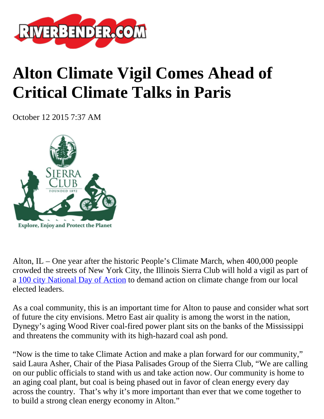

## **Alton Climate Vigil Comes Ahead of Critical Climate Talks in Paris**

October 12 2015 7:37 AM



Alton, IL – One year after the historic People's Climate March, when 400,000 people crowded the streets of New York City, the Illinois Sierra Club will hold a vigil as part of a [100 city National Day of Action](http://peoplesclimate.org/) to demand action on climate change from our local elected leaders.

As a coal community, this is an important time for Alton to pause and consider what sort of future the city envisions. Metro East air quality is among the worst in the nation, Dynegy's aging Wood River coal-fired power plant sits on the banks of the Mississippi and threatens the community with its high-hazard coal ash pond.

"Now is the time to take Climate Action and make a plan forward for our community," said Laura Asher, Chair of the Piasa Palisades Group of the Sierra Club, "We are calling on our public officials to stand with us and take action now. Our community is home to an aging coal plant, but coal is being phased out in favor of clean energy every day across the country. That's why it's more important than ever that we come together to to build a strong clean energy economy in Alton."